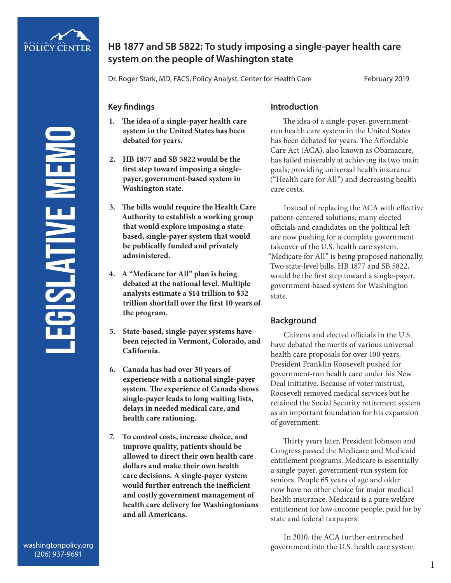

# **HB 1877 and SB 5822: To study imposing a single-payer health care system on the people of Washington state**

Dr. Roger Stark, MD, FACS, Policy Analyst, Center for Health Care February 2019

### **Key findings**

- **1. The idea of a single-payer health care system in the United States has been debated for years.**
- **2. HB 1877 and SB 5822 would be the first step toward imposing a singlepayer, government-based system in Washington state.**
- **3. The bills would require the Health Care Authority to establish a working group that would explore imposing a statebased, single-payer system that would be publically funded and privately administered.**
- **4. A "Medicare for All" plan is being debated at the national level. Multiple analysts estimate a \$14 trillion to \$32 trillion shortfall over the first 10 years of the program.**
- **5. State-based, single-payer systems have been rejected in Vermont, Colorado, and California.**
- **6. Canada has had over 30 years of experience with a national single-payer system. The experience of Canada shows single-payer leads to long waiting lists, delays in needed medical care, and health care rationing.**
- **7. To control costs, increase choice, and improve quality, patients should be allowed to direct their own health care dollars and make their own health care decisions. A single-payer system would further entrench the inefficient and costly government management of health care delivery for Washingtonians and all Americans.**

# **Introduction**

The idea of a single-payer, governmentrun health care system in the United States has been debated for years. The Affordable Care Act (ACA), also known as Obamacare, has failed miserably at achieving its two main goals; providing universal health insurance ("Health care for All") and decreasing health care costs.

Instead of replacing the ACA with effective patient-centered solutions, many elected officials and candidates on the political left are now pushing for a complete government takeover of the U.S. health care system. "Medicare for All" is being proposed nationally. Two state-level bills, HB 1877 and SB 5822, would be the first step toward a single-payer, government-based system for Washington state.

### **Background**

Citizens and elected officials in the U.S. have debated the merits of various universal health care proposals for over 100 years. President Franklin Roosevelt pushed for government-run health care under his New Deal initiative. Because of voter mistrust, Roosevelt removed medical services but he retained the Social Security retirement system as an important foundation for his expansion of government.

Thirty years later, President Johnson and Congress passed the Medicare and Medicaid entitlement programs. Medicare is essentially a single-payer, government-run system for seniors. People 65 years of age and older now have no other choice for major medical health insurance. Medicaid is a pure welfare entitlement for low-income people, paid for by state and federal taxpayers.

In 2010, the ACA further entrenched government into the U.S. health care system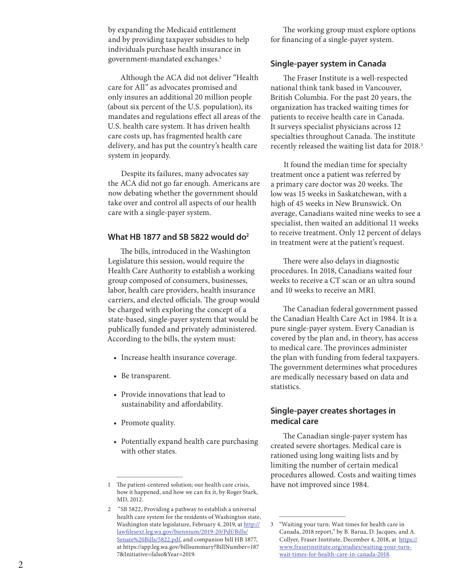by expanding the Medicaid entitlement and by providing taxpayer subsidies to help individuals purchase health insurance in government-mandated exchanges. 1

Although the ACA did not deliver "Health care for All" as advocates promised and only insures an additional 20 million people (about six percent of the U.S. population), its mandates and regulations effect all areas of the U.S. health care system. It has driven health care costs up, has fragmented health care delivery, and has put the country's health care system in jeopardy.

Despite its failures, many advocates say the ACA did not go far enough. Americans are now debating whether the government should take over and control all aspects of our health care with a single-payer system.

#### **What HB 1877 and SB 5822 would do 2**

The bills, introduced in the Washington Legislature this session, would require the Health Care Authority to establish a working group composed of consumers, businesses, labor, health care providers, health insurance carriers, and elected officials. The group would be charged with exploring the concept of a state-based, single-payer system that would be publically funded and privately administered. According to the bills, the system must:

- Increase health insurance coverage.
- Be transparent.
- Provide innovations that lead to sustainability and affordability.
- Promote quality.
- Potentially expand health care purchasing with other states.

The working group must explore options for financing of a single-payer system.

#### **Single-payer system in Canada**

The Fraser Institute is a well-respected national think tank based in Vancouver, British Columbia. For the past 20 years, the organization has tracked waiting times for patients to receive health care in Canada. It surveys specialist physicians across 12 specialties throughout Canada. The institute recently released the waiting list data for 2018. 3

It found the median time for specialty treatment once a patient was referred by a primary care doctor was 20 weeks. The low was 15 weeks in Saskatchewan, with a high of 45 weeks in New Brunswick. On average, Canadians waited nine weeks to see a specialist, then waited an additional 11 weeks to receive treatment. Only 12 percent of delays in treatment were at the patient's request.

There were also delays in diagnostic procedures. In 2018, Canadians waited four weeks to receive a CT scan or an ultra sound and 10 weeks to receive an MRI.

The Canadian federal government passed the Canadian Health Care Act in 1984. It is a pure single-payer system. Every Canadian is covered by the plan and, in theory, has access to medical care. The provinces administer the plan with funding from federal taxpayers. The government determines what procedures are medically necessary based on data and statistics.

### **Single-payer creates shortages in medical care**

The Canadian single-payer system has created severe shortages. Medical care is rationed using long waiting lists and by limiting the number of certain medical procedures allowed. Costs and waiting times have not improved since 1984.

<sup>1</sup> The patient-centered solution; our health care crisis, how it happened, and how we can fix it, by Roger Stark, MD, 2012.

<sup>2 &</sup>quot;SB 5822, Providing a pathway to establish a universal health care system for the residents of Washington state, Washington state legislature, February 4, 2019, at http:// lawfilesext.leg.wa.gov/biennium/2019-20/Pdf/Bills/ Senate%20Bills/5822.pdf, and companion bill HB 1877, at https://app.leg.wa.gov/billsummary?BillNumber=187 7&Initiative=false&Year=2019.

<sup>3</sup> "Waiting your turn: Wait times for health care in Canada, 2018 report," by B. Barua, D. Jacques, and A. Collyer, Fraser Institute, December 4, 2018, at https:// www.fraserinstitute.org/studies/waiting-your-turnwait-times-for-health-care-in-canada-2018.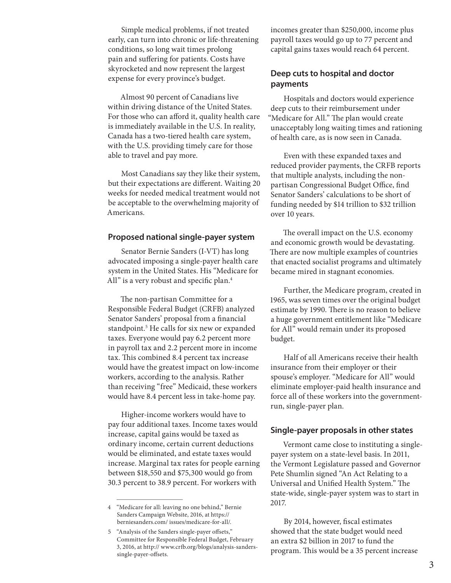Simple medical problems, if not treated early, can turn into chronic or life-threatening conditions, so long wait times prolong pain and suffering for patients. Costs have skyrocketed and now represent the largest expense for every province's budget.

Almost 90 percent of Canadians live within driving distance of the United States. For those who can afford it, quality health care is immediately available in the U.S. In reality, Canada has a two-tiered health care system, with the U.S. providing timely care for those able to travel and pay more.

Most Canadians say they like their system, but their expectations are different. Waiting 20 weeks for needed medical treatment would not be acceptable to the overwhelming majority of Americans.

#### **Proposed national single-payer system**

Senator Bernie Sanders (I-VT) has long advocated imposing a single-payer health care system in the United States. His "Medicare for All" is a very robust and specific plan.<sup>4</sup>

The non-partisan Committee for a Responsible Federal Budget (CRFB) analyzed Senator Sanders' proposal from a financial standpoint.5 He calls for six new or expanded taxes. Everyone would pay 6.2 percent more in payroll tax and 2.2 percent more in income tax. This combined 8.4 percent tax increase would have the greatest impact on low-income workers, according to the analysis. Rather than receiving "free" Medicaid, these workers would have 8.4 percent less in take-home pay.

Higher-income workers would have to pay four additional taxes. Income taxes would increase, capital gains would be taxed as ordinary income, certain current deductions would be eliminated, and estate taxes would increase. Marginal tax rates for people earning between \$18,550 and \$75,300 would go from 30.3 percent to 38.9 percent. For workers with

incomes greater than \$250,000, income plus payroll taxes would go up to 77 percent and capital gains taxes would reach 64 percent.

# **Deep cuts to hospital and doctor payments**

Hospitals and doctors would experience deep cuts to their reimbursement under "Medicare for All." The plan would create unacceptably long waiting times and rationing of health care, as is now seen in Canada.

Even with these expanded taxes and reduced provider payments, the CRFB reports that multiple analysts, including the nonpartisan Congressional Budget Office, find Senator Sanders' calculations to be short of funding needed by \$14 trillion to \$32 trillion over 10 years.

The overall impact on the U.S. economy and economic growth would be devastating. There are now multiple examples of countries that enacted socialist programs and ultimately became mired in stagnant economies.

Further, the Medicare program, created in 1965, was seven times over the original budget estimate by 1990. There is no reason to believe a huge government entitlement like "Medicare for All" would remain under its proposed budget.

Half of all Americans receive their health insurance from their employer or their spouse's employer. "Medicare for All" would eliminate employer-paid health insurance and force all of these workers into the governmentrun, single-payer plan.

#### **Single-payer proposals in other states**

Vermont came close to instituting a singlepayer system on a state-level basis. In 2011, the Vermont Legislature passed and Governor Pete Shumlin signed "An Act Relating to a Universal and Unified Health System." The state-wide, single-payer system was to start in 2017.

By 2014, however, fiscal estimates showed that the state budget would need an extra \$2 billion in 2017 to fund the program. This would be a 35 percent increase

<sup>4</sup> "Medicare for all: leaving no one behind," Bernie Sanders Campaign Website, 2016, at https:// berniesanders.com/ issues/medicare-for-all/.

<sup>5</sup> "Analysis of the Sanders single-payer offsets," Committee for Responsible Federal Budget, February 3, 2016, at http:// www.crfb.org/blogs/analysis-sanderssingle-payer-offsets.